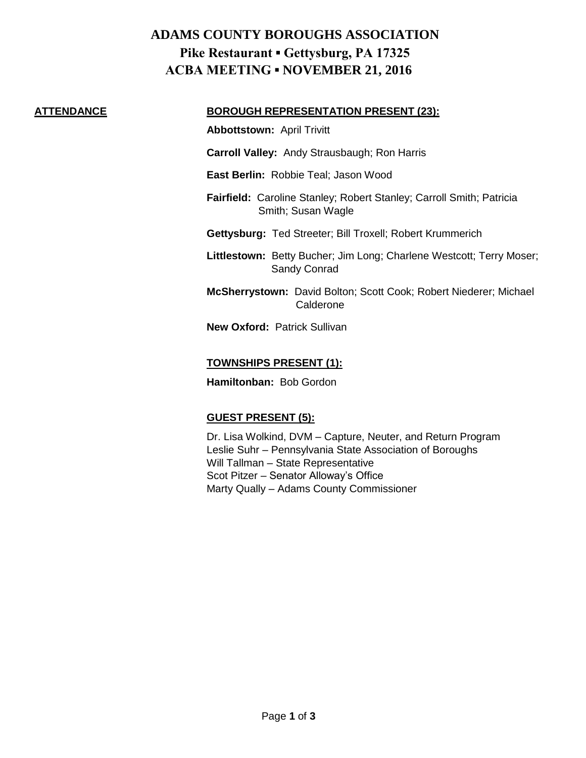## **ADAMS COUNTY BOROUGHS ASSOCIATION Pike Restaurant ▪ Gettysburg, PA 17325 ACBA MEETING ▪ NOVEMBER 21, 2016**

#### **ATTENDANCE BOROUGH REPRESENTATION PRESENT (23):**

**Abbottstown:** April Trivitt

- **Carroll Valley:** Andy Strausbaugh; Ron Harris
- **East Berlin:** Robbie Teal; Jason Wood
- **Fairfield:** Caroline Stanley; Robert Stanley; Carroll Smith; Patricia Smith; Susan Wagle
- **Gettysburg:** Ted Streeter; Bill Troxell; Robert Krummerich
- **Littlestown:** Betty Bucher; Jim Long; Charlene Westcott; Terry Moser; Sandy Conrad
- **McSherrystown:** David Bolton; Scott Cook; Robert Niederer; Michael Calderone
- **New Oxford:** Patrick Sullivan

#### **TOWNSHIPS PRESENT (1):**

**Hamiltonban:** Bob Gordon

## **GUEST PRESENT (5):**

Dr. Lisa Wolkind, DVM – Capture, Neuter, and Return Program Leslie Suhr – Pennsylvania State Association of Boroughs Will Tallman – State Representative Scot Pitzer – Senator Alloway's Office Marty Qually – Adams County Commissioner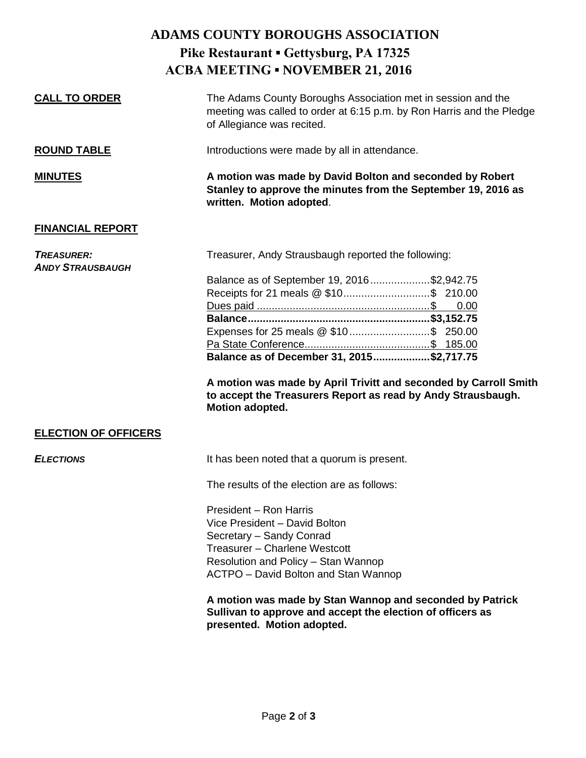|                                              | <b>ADAMS COUNTY BOROUGHS ASSOCIATION</b>                                                                                                                            |
|----------------------------------------------|---------------------------------------------------------------------------------------------------------------------------------------------------------------------|
|                                              | Pike Restaurant • Gettysburg, PA 17325                                                                                                                              |
|                                              | <b>ACBA MEETING • NOVEMBER 21, 2016</b>                                                                                                                             |
|                                              |                                                                                                                                                                     |
| <b>CALL TO ORDER</b>                         | The Adams County Boroughs Association met in session and the<br>meeting was called to order at 6:15 p.m. by Ron Harris and the Pledge<br>of Allegiance was recited. |
| <b>ROUND TABLE</b>                           | Introductions were made by all in attendance.                                                                                                                       |
| <b>MINUTES</b>                               | A motion was made by David Bolton and seconded by Robert<br>Stanley to approve the minutes from the September 19, 2016 as<br>written. Motion adopted.               |
| <b>FINANCIAL REPORT</b>                      |                                                                                                                                                                     |
| <b>TREASURER:</b><br><b>ANDY STRAUSBAUGH</b> | Treasurer, Andy Strausbaugh reported the following:                                                                                                                 |
|                                              | Balance as of September 19, 2016\$2,942.75                                                                                                                          |
|                                              |                                                                                                                                                                     |
|                                              | 0.00                                                                                                                                                                |
|                                              |                                                                                                                                                                     |
|                                              | Expenses for 25 meals @ \$10 \$ 250.00                                                                                                                              |
|                                              |                                                                                                                                                                     |
|                                              | Balance as of December 31, 2015\$2,717.75                                                                                                                           |
|                                              | A motion was made by April Trivitt and seconded by Carroll Smith<br>to accept the Treasurers Report as read by Andy Strausbaugh.<br>Motion adopted.                 |
| <b>ELECTION OF OFFICERS</b>                  |                                                                                                                                                                     |
| <b>ELECTIONS</b>                             | It has been noted that a quorum is present.                                                                                                                         |
|                                              | The results of the election are as follows:                                                                                                                         |

President – Ron Harris Vice President – David Bolton Secretary – Sandy Conrad Treasurer – Charlene Westcott Resolution and Policy – Stan Wannop ACTPO – David Bolton and Stan Wannop

**A motion was made by Stan Wannop and seconded by Patrick Sullivan to approve and accept the election of officers as presented. Motion adopted.**